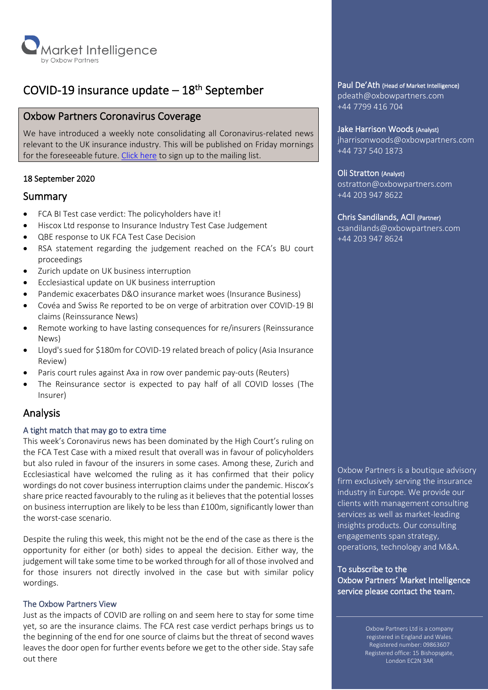

# COVID-19 insurance update – 18<sup>th</sup> September

# Oxbow Partners Coronavirus Coverage

We have introduced a weekly note consolidating all Coronavirus-related news relevant to the UK insurance industry. This will be published on Friday mornings for the foreseeable future. [Click here](https://oxbowpartners.com/newsletter-signup/) to sign up to the mailing list.

# 18 September 2020

# Summary

- FCA BI Test case verdict: The policyholders have it!
- Hiscox Ltd response to Insurance Industry Test Case Judgement
- QBE response to UK FCA Test Case Decision
- RSA statement regarding the judgement reached on the FCA's BU court proceedings
- Zurich update on UK business interruption
- Ecclesiastical update on UK business interruption
- Pandemic exacerbates D&O insurance market woes (Insurance Business)
- Covéa and Swiss Re reported to be on verge of arbitration over COVID-19 BI claims (Reinssurance News)
- Remote working to have lasting consequences for re/insurers (Reinssurance News)
- Lloyd's sued for \$180m for COVID-19 related breach of policy (Asia Insurance Review)
- Paris court rules against Axa in row over pandemic pay-outs (Reuters)
- The Reinsurance sector is expected to pay half of all COVID losses (The Insurer)

# Analysis

# A tight match that may go to extra time

This week's Coronavirus news has been dominated by the High Court's ruling on the FCA Test Case with a mixed result that overall was in favour of policyholders but also ruled in favour of the insurers in some cases. Among these, Zurich and Ecclesiastical have welcomed the ruling as it has confirmed that their policy wordings do not cover business interruption claims under the pandemic. Hiscox's share price reacted favourably to the ruling as it believes that the potential losses on business interruption are likely to be less than £100m, significantly lower than the worst-case scenario.

Despite the ruling this week, this might not be the end of the case as there is the opportunity for either (or both) sides to appeal the decision. Either way, the judgement will take some time to be worked through for all of those involved and for those insurers not directly involved in the case but with similar policy wordings.

# The Oxbow Partners View

Just as the impacts of COVID are rolling on and seem here to stay for some time yet, so are the insurance claims. The FCA rest case verdict perhaps brings us to the beginning of the end for one source of claims but the threat of second waves leaves the door open for further events before we get to the other side. Stay safe out there

# Paul De'Ath (Head of Market Intelligence)

pdeath@oxbowpartners.com +44 7799 416 704

#### Jake Harrison Woods (Analyst)

jharrisonwoods@oxbowpartners.com +44 737 540 1873

# Oli Stratton (Analyst)

ostratton@oxbowpartners.com +44 203 947 8622

# Chris Sandilands, ACII (Partner)

csandilands@oxbowpartners.com +44 203 947 8624

Oxbow Partners is a boutique advisory firm exclusively serving the insurance industry in Europe. We provide our clients with management consulting services as well as market-leading insights products. Our consulting engagements span strategy, operations, technology and M&A.

To subscribe to the Oxbow Partners' Market Intelligence service please contact the team.

> Oxbow Partners Ltd is a company registered in England and Wales. Registered number: 09863607 Registered office: 15 Bishopsgate, London EC2N 3AR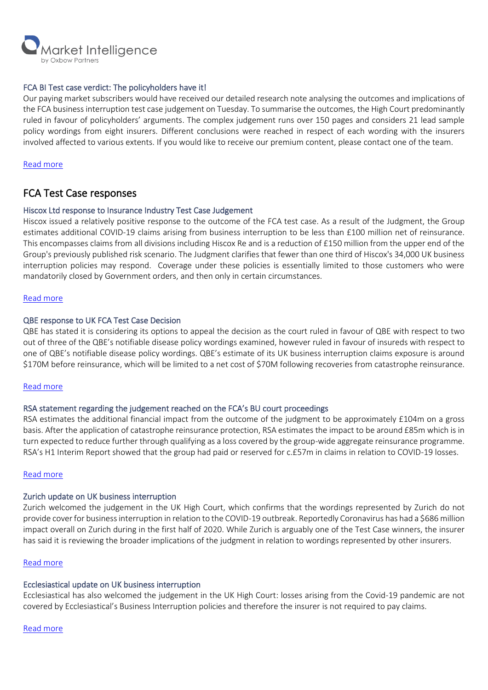

## FCA BI Test case verdict: The policyholders have it!

Our paying market subscribers would have received our detailed research note analysing the outcomes and implications of the FCA business interruption test case judgement on Tuesday. To summarise the outcomes, the High Court predominantly ruled in favour of policyholders' arguments. The complex judgement runs over 150 pages and considers 21 lead sample policy wordings from eight insurers. Different conclusions were reached in respect of each wording with the insurers involved affected to various extents. If you would like to receive our premium content, please contact one of the team.

Read [more](mailto:marketintelligence@oxbowpartners.com?subject=Paid%20Market%20Intelligence%20Subscription%20Enquiry%20)

# FCA Test Case responses

#### Hiscox Ltd response to Insurance Industry Test Case Judgement

Hiscox issued a relatively positive response to the outcome of the FCA test case. As a result of the Judgment, the Group estimates additional COVID-19 claims arising from business interruption to be less than £100 million net of reinsurance. This encompasses claims from all divisions including Hiscox Re and is a reduction of £150 million from the upper end of the Group's previously published risk scenario. The Judgment clarifies that fewer than one third of Hiscox's 34,000 UK business interruption policies may respond. Coverage under these policies is essentially limited to those customers who were mandatorily closed by Government orders, and then only in certain circumstances.

#### Read [more](https://www.hiscoxgroup.com/news/press-releases/2020/15-09-20)

#### QBE response to UK FCA Test Case Decision

QBE has stated it is considering its options to appeal the decision as the court ruled in favour of QBE with respect to two out of three of the QBE's notifiable disease policy wordings examined, however ruled in favour of insureds with respect to one of QBE's notifiable disease policy wordings. QBE's estimate of its UK business interruption claims exposure is around \$170M before reinsurance, which will be limited to a net cost of \$70M following recoveries from catastrophe reinsurance.

# Read [more](https://www.qbe.com/-/media/group/document%20listing/2020/09/15/22/50/asx%20announcement%20-%20qbe%20response%20to%20uk%20fca%20test%20case%20decision%20-%20for%20asx.pdf?download=1)

#### RSA statement regarding the judgement reached on the FCA's BU court proceedings

RSA estimates the additional financial impact from the outcome of the judgment to be approximately £104m on a gross basis. After the application of catastrophe reinsurance protection, RSA estimates the impact to be around £85m which is in turn expected to reduce further through qualifying as a loss covered by the group-wide aggregate reinsurance programme. RSA's H1 Interim Report showed that the group had paid or reserved for c.£57m in claims in relation to COVID-19 losses.

#### Read [more](https://www.rsagroup.com/news/press-releases/2020/statement-regarding-the-judgment-reached-on-the-fcas-business-interruption-court-proceedings/)

#### Zurich update on UK business interruption

Zurich welcomed the judgement in the UK High Court, which confirms that the wordings represented by Zurich do not provide cover for business interruption in relation to the COVID-19 outbreak. Reportedly Coronavirus has had a \$686 million impact overall on Zurich during in the first half of 2020. While Zurich is arguably one of the Test Case winners, the insurer has said it is reviewing the broader implications of the judgment in relation to wordings represented by other insurers.

#### Read [more](https://www.zurich.com/en/media/news-releases/2020/2020-0915-01)

# Ecclesiastical update on UK business interruption

Ecclesiastical has also welcomed the judgement in the UK High Court: losses arising from the Covid-19 pandemic are not covered by Ecclesiastical's Business Interruption policies and therefore the insurer is not required to pay claims.

#### Read [more](https://www.ecclesiastical.com/latest-news/fca-test-case/)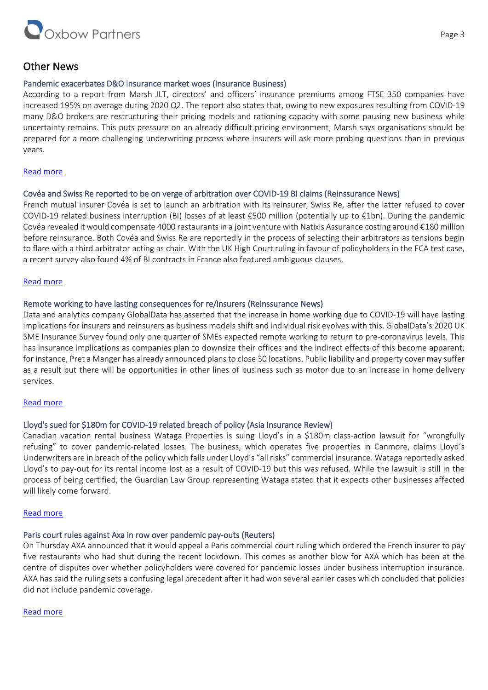

# Other News

# Pandemic exacerbates D&O insurance market woes (Insurance Business)

According to a report from Marsh JLT, directors' and officers' insurance premiums among FTSE 350 companies have increased 195% on average during 2020 Q2. The report also states that, owing to new exposures resulting from COVID-19 many D&O brokers are restructuring their pricing models and rationing capacity with some pausing new business while uncertainty remains. This puts pressure on an already difficult pricing environment, Marsh says organisations should be prepared for a more challenging underwriting process where insurers will ask more probing questions than in previous years.

# [Read more](https://www.insurancebusinessmag.com/uk/news/professional-liability/pandemic-exacerbates-dando-insurance-market-woes-233781.aspx)

# Covéa and Swiss Re reported to be on verge of arbitration over COVID-19 BI claims (Reinssurance News)

French mutual insurer Covéa is set to launch an arbitration with its reinsurer, Swiss Re, after the latter refused to cover COVID-19 related business interruption (BI) losses of at least €500 million (potentially up to €1bn). During the pandemic Covéa revealed it would compensate 4000 restaurantsin a joint venture with Natixis Assurance costing around €180 million before reinsurance. Both Covéa and Swiss Re are reportedly in the process of selecting their arbitrators as tensions begin to flare with a third arbitrator acting as chair. With the UK High Court ruling in favour of policyholders in the FCA test case, a recent survey also found 4% of BI contracts in France also featured ambiguous clauses.

# [Read more](https://www.reinsurancene.ws/covea-and-swiss-re-reported-on-verge-of-arbitration-over-covid-19-bi-claims/)

# Remote working to have lasting consequences for re/insurers (Reinssurance News)

Data and analytics company GlobalData has asserted that the increase in home working due to COVID-19 will have lasting implications for insurers and reinsurers as business models shift and individual risk evolves with this. GlobalData's 2020 UK SME Insurance Survey found only one quarter of SMEs expected remote working to return to pre-coronavirus levels. This has insurance implications as companies plan to downsize their offices and the indirect effects of this become apparent; for instance, Pret a Manger has already announced plans to close 30 locations. Public liability and property cover may suffer as a result but there will be opportunities in other lines of business such as motor due to an increase in home delivery services.

# [Read more](https://www.reinsurancene.ws/remote-working-to-have-lasting-consequences-for-re-insurers-globaldata/)

# Lloyd's sued for \$180m for COVID-19 related breach of policy (Asia Insurance Review)

Canadian vacation rental business Wataga Properties is suing Lloyd's in a \$180m class-action lawsuit for "wrongfully refusing" to cover pandemic-related losses. The business, which operates five properties in Canmore, claims Lloyd's Underwriters are in breach of the policy which falls under Lloyd's "all risks" commercial insurance. Wataga reportedly asked Lloyd's to pay-out for its rental income lost as a result of COVID-19 but this was refused. While the lawsuit is still in the process of being certified, the Guardian Law Group representing Wataga stated that it expects other businesses affected will likely come forward.

# [Read more](https://www.asiainsurancereview.com/News/View-NewsLetter-Article/id/73706/Type/eDaily/Canada-Lloyd-s-sued-for-180m-for-COVID-19-related-breach-of-policy?utm_source=slipcase&utm_medium=affiliate&utm_campaign=slipcase)

# Paris court rules against Axa in row over pandemic pay-outs (Reuters)

On Thursday AXA announced that it would appeal a Paris commercial court ruling which ordered the French insurer to pay five restaurants who had shut during the recent lockdown. This comes as another blow for AXA which has been at the centre of disputes over whether policyholders were covered for pandemic losses under business interruption insurance. AXA has said the ruling sets a confusing legal precedent after it had won several earlier cases which concluded that policies did not include pandemic coverage.

# [Read more](https://uk.reuters.com/article/idUKL8N2GE58V?utm_source=slipcase&utm_medium=affiliate&utm_campaign=slipcase)